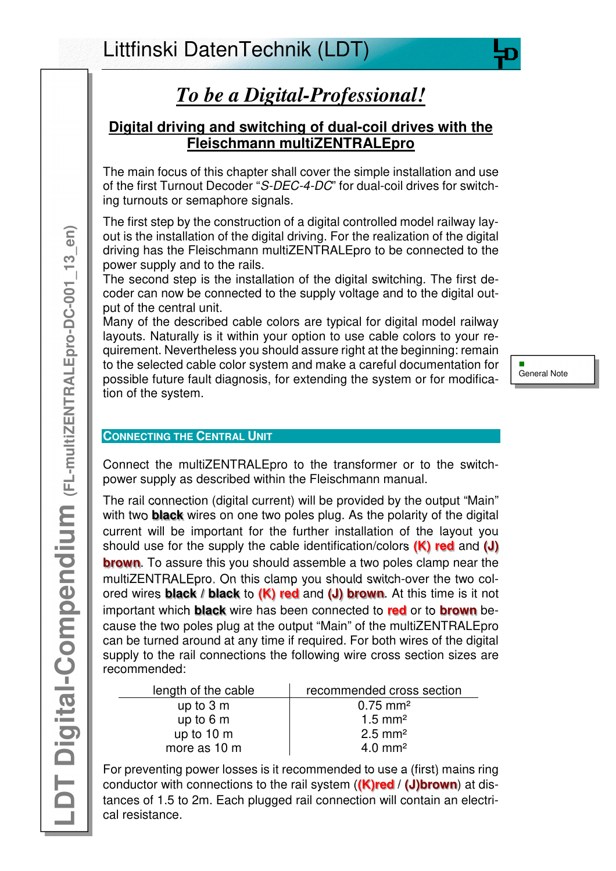# *To be a Digital-Professional!*

# **Digital driving and switching of dual-coil drives with the Fleischmann multiZENTRALEpro**

The main focus of this chapter shall cover the simple installation and use of the first Turnout Decoder "S-DEC-4-DC" for dual-coil drives for switching turnouts or semaphore signals.

The first step by the construction of a digital controlled model railway layout is the installation of the digital driving. For the realization of the digital driving has the Fleischmann multiZENTRALEpro to be connected to the power supply and to the rails.

The second step is the installation of the digital switching. The first decoder can now be connected to the supply voltage and to the digital output of the central unit.

Many of the described cable colors are typical for digital model railway layouts. Naturally is it within your option to use cable colors to your requirement. Nevertheless you should assure right at the beginning: remain to the selected cable color system and make a careful documentation for possible future fault diagnosis, for extending the system or for modification of the system.

Ē. General Note

# **CONNECTING THE CENTRAL UNIT**

Connect the multiZENTRALEpro to the transformer or to the switchpower supply as described within the Fleischmann manual.

The rail connection (digital current) will be provided by the output "Main" with two **black** wires on one two poles plug. As the polarity of the digital current will be important for the further installation of the layout you should use for the supply the cable identification/colors **(K) red** and **(J) brown**. To assure this you should assemble a two poles clamp near the multiZENTRALEpro. On this clamp you should switch-over the two colored wires **black / black** to **(K) red** and **(J) brown**. At this time is it not important which **black** wire has been connected to **red** or to **brown** because the two poles plug at the output "Main" of the multiZENTRALEpro can be turned around at any time if required. For both wires of the digital supply to the rail connections the following wire cross section sizes are recommended:

| length of the cable  | recommended cross section |
|----------------------|---------------------------|
| up to $3m$           | $0.75 \text{ mm}^2$       |
| up to $6m$           | $1.5 \text{ mm}^2$        |
| up to $10 \text{ m}$ | $2.5 \text{ mm}^2$        |
| more as 10 m         | $4.0 \text{ mm}^2$        |

For preventing power losses is it recommended to use a (first) mains ring conductor with connections to the rail system (**(K)red** / **(J)brown**) at distances of 1.5 to 2m. Each plugged rail connection will contain an electrical resistance.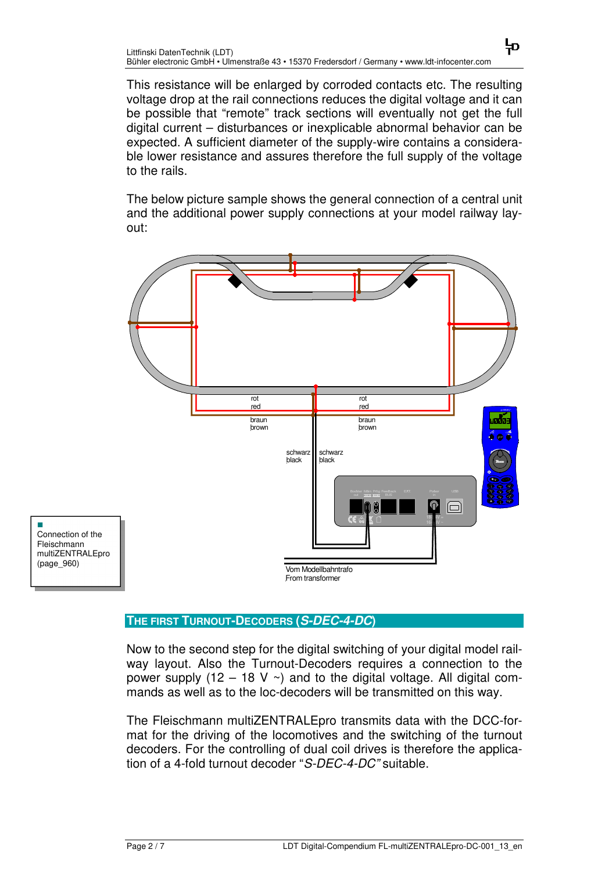This resistance will be enlarged by corroded contacts etc. The resulting voltage drop at the rail connections reduces the digital voltage and it can be possible that "remote" track sections will eventually not get the full digital current – disturbances or inexplicable abnormal behavior can be expected. A sufficient diameter of the supply-wire contains a considerable lower resistance and assures therefore the full supply of the voltage to the rails.

뉴

The below picture sample shows the general connection of a central unit and the additional power supply connections at your model railway layout:



п Connection of the Fleischmann multiZENTRALEpro (page\_960)

## **THE FIRST TURNOUT-DECODERS (S-DEC-4-DC)**

Now to the second step for the digital switching of your digital model railway layout. Also the Turnout-Decoders requires a connection to the power supply (12 – 18 V  $\sim$ ) and to the digital voltage. All digital commands as well as to the loc-decoders will be transmitted on this way.

The Fleischmann multiZENTRALEpro transmits data with the DCC-format for the driving of the locomotives and the switching of the turnout decoders. For the controlling of dual coil drives is therefore the application of a 4-fold turnout decoder "S-DEC-4-DC" suitable.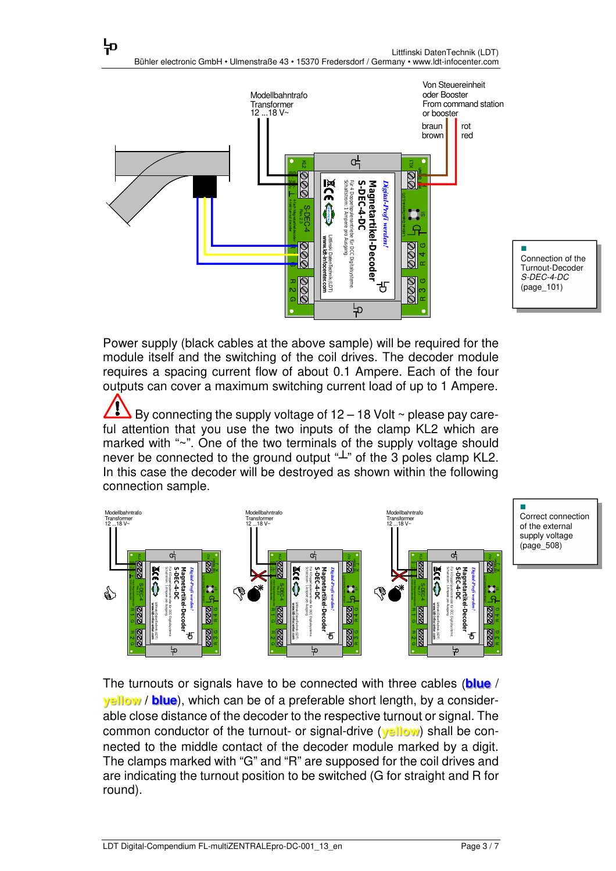뉴



Power supply (black cables at the above sample) will be required for the module itself and the switching of the coil drives. The decoder module requires a spacing current flow of about 0.1 Ampere. Each of the four outputs can cover a maximum switching current load of up to 1 Ampere.

By connecting the supply voltage of  $12 - 18$  Volt  $\sim$  please pay careful attention that you use the two inputs of the clamp KL2 which are marked with "~". One of the two terminals of the supply voltage should never be connected to the ground output " $\perp$ " of the 3 poles clamp KL2. In this case the decoder will be destroyed as shown within the following connection sample.



Correct connection of the external supply voltage (page\_508)

Ē,

The turnouts or signals have to be connected with three cables (**blue** / **yellow** / **blue**), which can be of a preferable short length, by a considerable close distance of the decoder to the respective turnout or signal. The common conductor of the turnout- or signal-drive (**yellow**) shall be connected to the middle contact of the decoder module marked by a digit. The clamps marked with "G" and "R" are supposed for the coil drives and are indicating the turnout position to be switched (G for straight and R for round).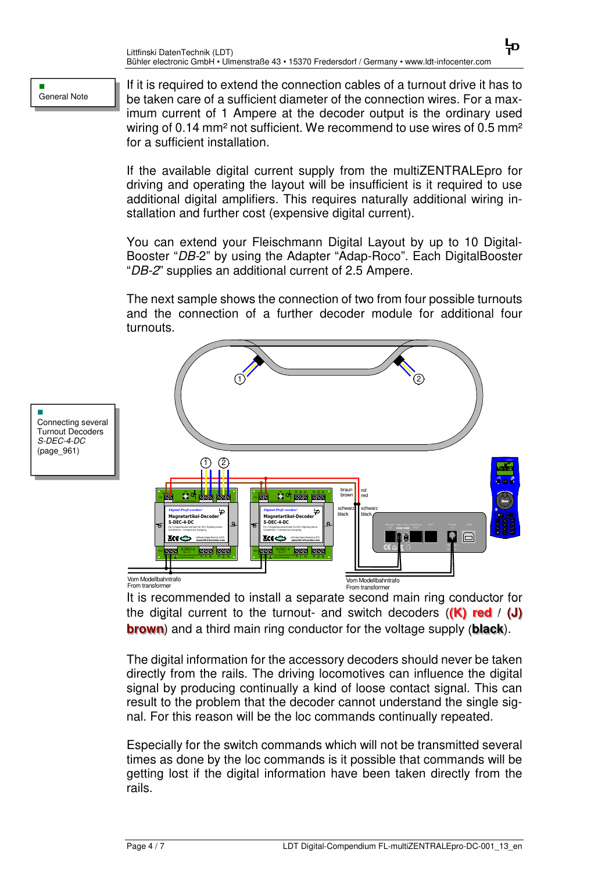#### Ē. General Note

If it is required to extend the connection cables of a turnout drive it has to be taken care of a sufficient diameter of the connection wires. For a maximum current of 1 Ampere at the decoder output is the ordinary used wiring of 0.14 mm<sup>2</sup> not sufficient. We recommend to use wires of 0.5 mm<sup>2</sup> for a sufficient installation.

뉴

If the available digital current supply from the multiZENTRALEpro for driving and operating the layout will be insufficient is it required to use additional digital amplifiers. This requires naturally additional wiring installation and further cost (expensive digital current).

You can extend your Fleischmann Digital Layout by up to 10 Digital-Booster "DB-2" by using the Adapter "Adap-Roco". Each DigitalBooster "DB-2" supplies an additional current of 2.5 Ampere.

The next sample shows the connection of two from four possible turnouts and the connection of a further decoder module for additional four turnouts.



It is recommended to install a separate second main ring conductor for the digital current to the turnout- and switch decoders (**(K) red** / **(J) brown**) and a third main ring conductor for the voltage supply (**black**).

The digital information for the accessory decoders should never be taken directly from the rails. The driving locomotives can influence the digital signal by producing continually a kind of loose contact signal. This can result to the problem that the decoder cannot understand the single signal. For this reason will be the loc commands continually repeated.

Especially for the switch commands which will not be transmitted several times as done by the loc commands is it possible that commands will be getting lost if the digital information have been taken directly from the rails.

Ē. Connecting several Turnout Decoders S-DEC-4-DC (page\_961)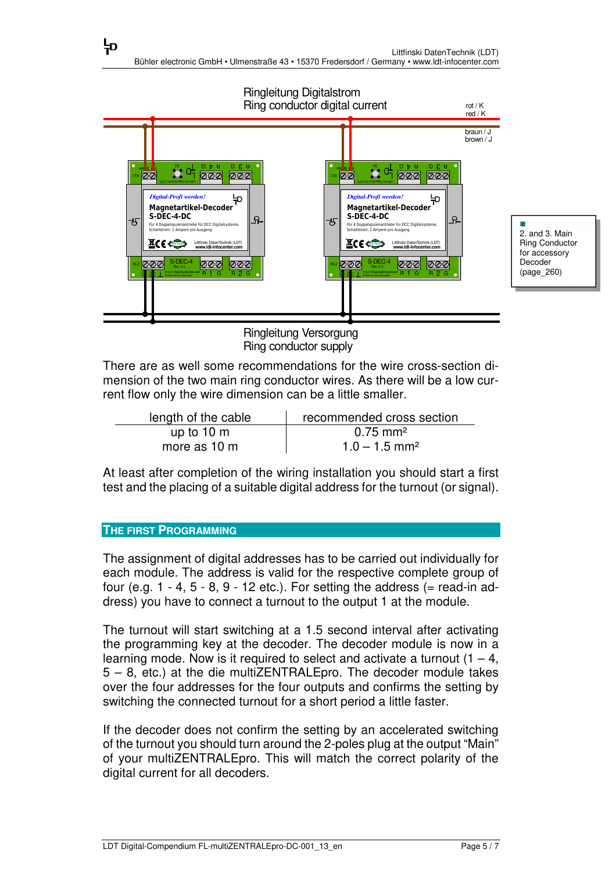

Ringleitung Versorgung Ring conductor supply

There are as well some recommendations for the wire cross-section dimension of the two main ring conductor wires. As there will be a low current flow only the wire dimension can be a little smaller.

| length of the cable  | recommended cross section   |
|----------------------|-----------------------------|
| up to $10 \text{ m}$ | $0.75 \text{ mm}^2$         |
| more as 10 m         | $1.0 - 1.5$ mm <sup>2</sup> |

At least after completion of the wiring installation you should start a first test and the placing of a suitable digital address for the turnout (or signal).

## **THE FIRST PROGRAMMING**

뉴

The assignment of digital addresses has to be carried out individually for each module. The address is valid for the respective complete group of four (e.g.  $1 - 4$ ,  $5 - 8$ ,  $9 - 12$  etc.). For setting the address (= read-in address) you have to connect a turnout to the output 1 at the module.

The turnout will start switching at a 1.5 second interval after activating the programming key at the decoder. The decoder module is now in a learning mode. Now is it required to select and activate a turnout  $(1 - 4)$ , 5 – 8, etc.) at the die multiZENTRALEpro. The decoder module takes over the four addresses for the four outputs and confirms the setting by switching the connected turnout for a short period a little faster.

If the decoder does not confirm the setting by an accelerated switching of the turnout you should turn around the 2-poles plug at the output "Main" of your multiZENTRALEpro. This will match the correct polarity of the digital current for all decoders.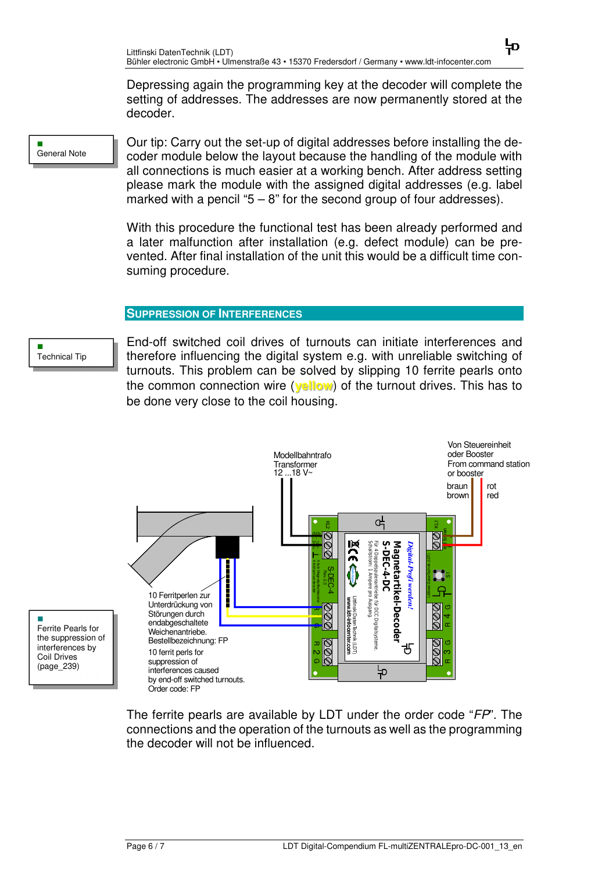Depressing again the programming key at the decoder will complete the setting of addresses. The addresses are now permanently stored at the decoder.

뉴

General Note

п

Our tip: Carry out the set-up of digital addresses before installing the decoder module below the layout because the handling of the module with all connections is much easier at a working bench. After address setting please mark the module with the assigned digital addresses (e.g. label marked with a pencil " $5 - 8$ " for the second group of four addresses).

With this procedure the functional test has been already performed and a later malfunction after installation (e.g. defect module) can be prevented. After final installation of the unit this would be a difficult time consuming procedure.

### **SUPPRESSION OF INTERFERENCES**

÷ Technical Tip

End-off switched coil drives of turnouts can initiate interferences and therefore influencing the digital system e.g. with unreliable switching of turnouts. This problem can be solved by slipping 10 ferrite pearls onto the common connection wire (**yellow**) of the turnout drives. This has to be done very close to the coil housing.



Ferrite Pearls for the suppression of interferences by Coil Drives (page\_239)

Ē.

The ferrite pearls are available by LDT under the order code "FP". The connections and the operation of the turnouts as well as the programming the decoder will not be influenced.